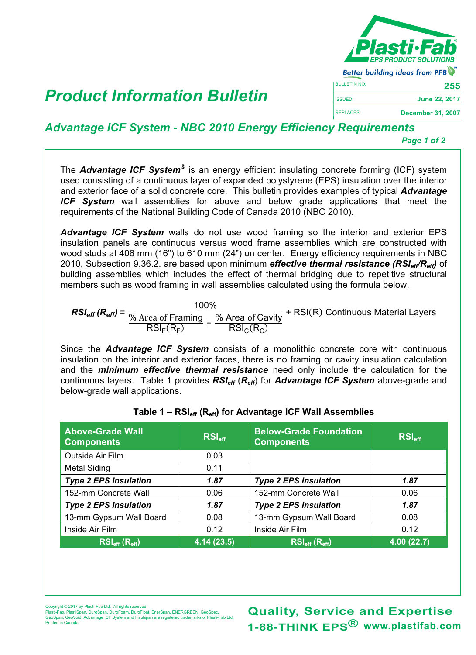

Better building ideas from PFB

BULLETIN NO. ISSUED:

REPLACES:

## **<sup>255</sup>** *Product Information Bulletin*

## *Advantage ICF System - NBC 2010 Energy Efficiency Requirements*

*Page 1 of 2*

**December 31, 2007 June 22, 2017**

The *Advantage ICF System®* is an energy efficient insulating concrete forming (ICF) system used consisting of a continuous layer of expanded polystyrene (EPS) insulation over the interior and exterior face of a solid concrete core. This bulletin provides examples of typical *Advantage ICF System* wall assemblies for above and below grade applications that meet the requirements of the National Building Code of Canada 2010 (NBC 2010).

*Advantage ICF System* walls do not use wood framing so the interior and exterior EPS insulation panels are continuous versus wood frame assemblies which are constructed with wood studs at 406 mm (16") to 610 mm (24") on center. Energy efficiency requirements in NBC 2010, Subsection 9.36.2. are based upon minimum *effective thermal resistance (RSIeff/Reff)* of building assemblies which includes the effect of thermal bridging due to repetitive structural members such as wood framing in wall assemblies calculated using the formula below.

$$
RSI_{\text{eff}}(R_{\text{eff}}) = \frac{100\%}{\frac{\% \text{ Area of Framing}}{\text{RSI}_{F}(R_{F})} + \frac{\% \text{ Area of Cavity}}{\text{RSI}_{C}(R_{C})}} + \text{RSI}(R) \text{ Continuous Material Layers}
$$

Since the *Advantage ICF System* consists of a monolithic concrete core with continuous insulation on the interior and exterior faces, there is no framing or cavity insulation calculation and the *minimum effective thermal resistance* need only include the calculation for the continuous layers. Table 1 provides *RSIeff* (*Reff*) for *Advantage ICF System* above-grade and below-grade wall applications.

| <b>Above-Grade Wall</b><br><b>Components</b> | $RSI_{eff}$ | <b>Below-Grade Foundation</b><br><b>Components</b> | $RSI_{\text{eff}}$ |  |
|----------------------------------------------|-------------|----------------------------------------------------|--------------------|--|
| Outside Air Film                             | 0.03        |                                                    |                    |  |
| <b>Metal Siding</b>                          | 0.11        |                                                    |                    |  |
| <b>Type 2 EPS Insulation</b>                 | 1.87        | <b>Type 2 EPS Insulation</b>                       | 1.87               |  |
| 152-mm Concrete Wall                         | 0.06        | 152-mm Concrete Wall                               | 0.06               |  |
| <b>Type 2 EPS Insulation</b>                 | 1.87        | <b>Type 2 EPS Insulation</b>                       | 1.87               |  |
| 13-mm Gypsum Wall Board                      | 0.08        | 13-mm Gypsum Wall Board                            | 0.08               |  |
| Inside Air Film                              | 0.12        | Inside Air Film                                    | 0.12               |  |
| $RSI_{eff}$ ( $R_{eff}$ )                    | 4.14 (23.5) | $RSI_{eff}$ ( $R_{eff}$ )                          | 4.00 (22.7)        |  |

## **Table 1 – RSIeff (Reff) for Advantage ICF Wall Assemblies**

Copyright © 2017 by Plasti-Fab Ltd. All rights reserved. Plasti-Fab, PlastiSpan, DuroSpan, DuroFoam, DuroFloat, EnerSpan, ENERGREEN, GeoSpec, GeoSpan, GeoVoid, Advantage ICF System and Insulspan are registered trademarks of Plasti-Fab Ltd. Printed in Canada

**www.plastifab.com 1-88-THINK EPS® Quality, Service and Expertise**